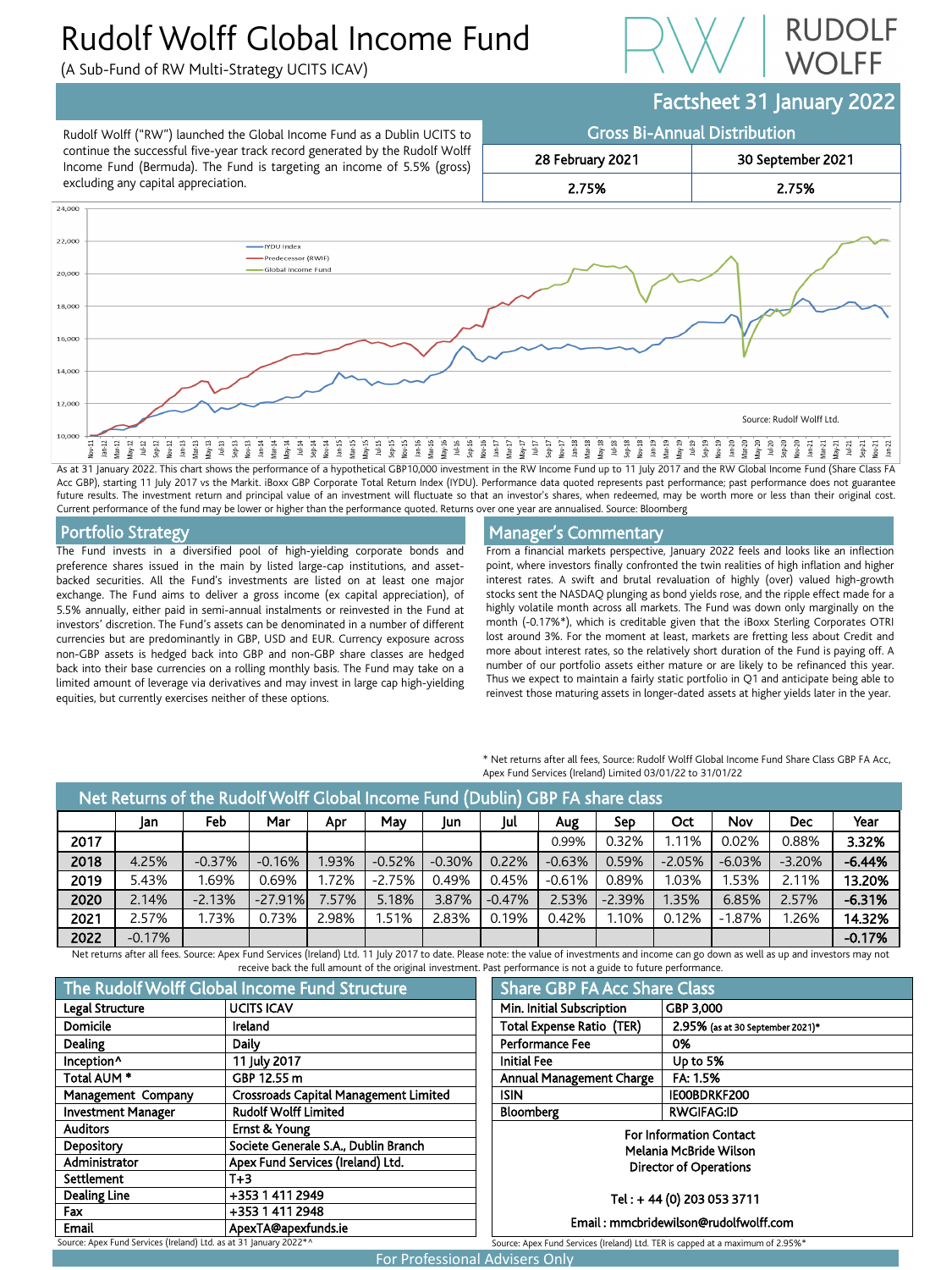## Rudolf Wolff Global Income Fund

(A Sub-Fund of RW Multi-Strategy UCITS ICAV)

# **RUDOLF**

### Factsheet 31 January 2022

Gross Bi-Annual Distribution

Rudolf Wolff ("RW") launched the Global Income Fund as a Dublin UCITS to continue the successful five-year track record generated by the Rudolf Wolff Income Fund (Bermuda). The Fund is targeting an income of 5.5% (gross)



Acc GBP), starting 11 July 2017 vs the Markit. iBoxx GBP Corporate Total Return Index (IYDU). Performance data quoted represents past performance; past performance does not guarantee future results. The investment return and principal value of an investment will fluctuate so that an investor's shares, when redeemed, may be worth more or less than their original cost. Current performance of the fund may be lower or higher than the performance quoted. Returns over one year are annualised. Source: Bloomberg

### Portfolio Strategy

The Fund invests in a diversified pool of high-yielding corporate bonds and preference shares issued in the main by listed large-cap institutions, and assetbacked securities. All the Fund's investments are listed on at least one major exchange. The Fund aims to deliver a gross income (ex capital appreciation), of 5.5% annually, either paid in semi-annual instalments or reinvested in the Fund at investors' discretion. The Fund's assets can be denominated in a number of different currencies but are predominantly in GBP, USD and EUR. Currency exposure across non-GBP assets is hedged back into GBP and non-GBP share classes are hedged back into their base currencies on a rolling monthly basis. The Fund may take on a limited amount of leverage via derivatives and may invest in large cap high-yielding equities, but currently exercises neither of these options.

### Manager's Commentary

From a financial markets perspective, January 2022 feels and looks like an inflection point, where investors finally confronted the twin realities of high inflation and higher interest rates. A swift and brutal revaluation of highly (over) valued high-growth stocks sent the NASDAQ plunging as bond yields rose, and the ripple effect made for a highly volatile month across all markets. The Fund was down only marginally on the month (-0.17%\*), which is creditable given that the iBoxx Sterling Corporates OTRI lost around 3%. For the moment at least, markets are fretting less about Credit and more about interest rates, so the relatively short duration of the Fund is paying off. A number of our portfolio assets either mature or are likely to be refinanced this year. Thus we expect to maintain a fairly static portfolio in Q1 and anticipate being able to reinvest those maturing assets in longer-dated assets at higher yields later in the year.

\* Net returns after all fees, Source: Rudolf Wolff Global Income Fund Share Class GBP FA Acc, Apex Fund Services (Ireland) Limited 03/01/22 to 31/01/22

| Net Returns of the Rudolf Wolff Global Income Fund (Dublin) GBP FA share class |          |          |           |       |          |          |          |          |          |          |          |              |          |
|--------------------------------------------------------------------------------|----------|----------|-----------|-------|----------|----------|----------|----------|----------|----------|----------|--------------|----------|
|                                                                                | Jan      | Feb      | Mar       | Apr   | May      | Jun      | Jul      | Aug      | Sep      | Oct      | Nov      | <b>Dec</b>   | Year     |
| 2017                                                                           |          |          |           |       |          |          |          | 0.99%    | 0.32%    | l.11%    | 0.02%    | 0.88%        | 3.32%    |
| 2018                                                                           | 4.25%    | $-0.37%$ | $-0.16%$  | 1.93% | $-0.52%$ | $-0.30%$ | 0.22%    | $-0.63%$ | 0.59%    | $-2.05%$ | $-6.03%$ | $-3.20%$     | $-6.44%$ |
| 2019                                                                           | 5.43%    | 1.69%    | 0.69%     | .72%  | $-2.75%$ | 0.49%    | 0.45%    | $-0.61%$ | 0.89%    | l.03%    | $.53\%$  | 2.11%        | 13.20%   |
| 2020                                                                           | 2.14%    | $-2.13%$ | $-27.91%$ | 7.57% | 5.18%    | 3.87%    | $-0.47%$ | 2.53%    | $-2.39%$ | 1.35%    | 6.85%    | 2.57%        | $-6.31%$ |
| 2021                                                                           | 2.57%    | 1.73%    | 0.73%     | 2.98% | .51%     | 2.83%    | 0.19%    | 0.42%    | .10%     | 0.12%    | $-1.87%$ | <b>1.26%</b> | 14.32%   |
| 2022                                                                           | $-0.17%$ |          |           |       |          |          |          |          |          |          |          |              | $-0.17%$ |

Net returns after all fees. Source: Apex Fund Services (Ireland) Ltd. 11 July 2017 to date. Please note: the value of investments and income can go down as well as up and investors may not receive back the full amount of the original investment. Pas

| The Rudolf Wolff Global Income Fund Structure                     |                                              |  |  |  |  |  |
|-------------------------------------------------------------------|----------------------------------------------|--|--|--|--|--|
| Legal Structure                                                   | <b>UCITS ICAV</b>                            |  |  |  |  |  |
| Domicile                                                          | Ireland                                      |  |  |  |  |  |
| Dealing                                                           | Daily                                        |  |  |  |  |  |
| Inception <sup>^</sup>                                            | 11 July 2017                                 |  |  |  |  |  |
| Total AUM <sup>*</sup>                                            | GBP 12.55 m                                  |  |  |  |  |  |
| Management Company                                                | <b>Crossroads Capital Management Limited</b> |  |  |  |  |  |
| <b>Investment Manager</b>                                         | <b>Rudolf Wolff Limited</b>                  |  |  |  |  |  |
| <b>Auditors</b>                                                   | Ernst & Young                                |  |  |  |  |  |
| Depository                                                        | Societe Generale S.A., Dublin Branch         |  |  |  |  |  |
| Administrator                                                     | Apex Fund Services (Ireland) Ltd.            |  |  |  |  |  |
| Settlement                                                        | T+3                                          |  |  |  |  |  |
| <b>Dealing Line</b>                                               | +353 1 411 2949                              |  |  |  |  |  |
| Fax                                                               | +353 1 411 2948                              |  |  |  |  |  |
| <b>Email</b>                                                      | ApexTA@apexfunds.ie                          |  |  |  |  |  |
| Source: Apex Fund Services (Ireland) Ltd. as at 31 January 2022*^ |                                              |  |  |  |  |  |

| st performance is not a guide to future performance.                           |                                  |  |  |  |  |  |
|--------------------------------------------------------------------------------|----------------------------------|--|--|--|--|--|
| <b>Share GBP FA Acc Share Class</b>                                            |                                  |  |  |  |  |  |
| Min. Initial Subscription                                                      | GBP 3,000                        |  |  |  |  |  |
| <b>Total Expense Ratio (TER)</b>                                               | 2.95% (as at 30 September 2021)* |  |  |  |  |  |
| <b>Performance Fee</b>                                                         | 0%                               |  |  |  |  |  |
| <b>Initial Fee</b>                                                             | Up to 5%                         |  |  |  |  |  |
| <b>Annual Management Charge</b>                                                | FA: 1.5%                         |  |  |  |  |  |
| <b>ISIN</b>                                                                    | IEOOBDRKF200                     |  |  |  |  |  |
| Bloomberg                                                                      | <b>RWGIFAG:ID</b>                |  |  |  |  |  |
| <b>For Information Contact</b>                                                 |                                  |  |  |  |  |  |
| Melania McBride Wilson                                                         |                                  |  |  |  |  |  |
| <b>Director of Operations</b>                                                  |                                  |  |  |  |  |  |
|                                                                                |                                  |  |  |  |  |  |
| Tel: +44 (0) 203 053 3711                                                      |                                  |  |  |  |  |  |
| Email: mmcbridewilson@rudolfwolff.com                                          |                                  |  |  |  |  |  |
| iource: Apex Fund Services (Ireland) Ltd. TER is capped at a maximum of 2.95%* |                                  |  |  |  |  |  |

For Professional Advisers Only